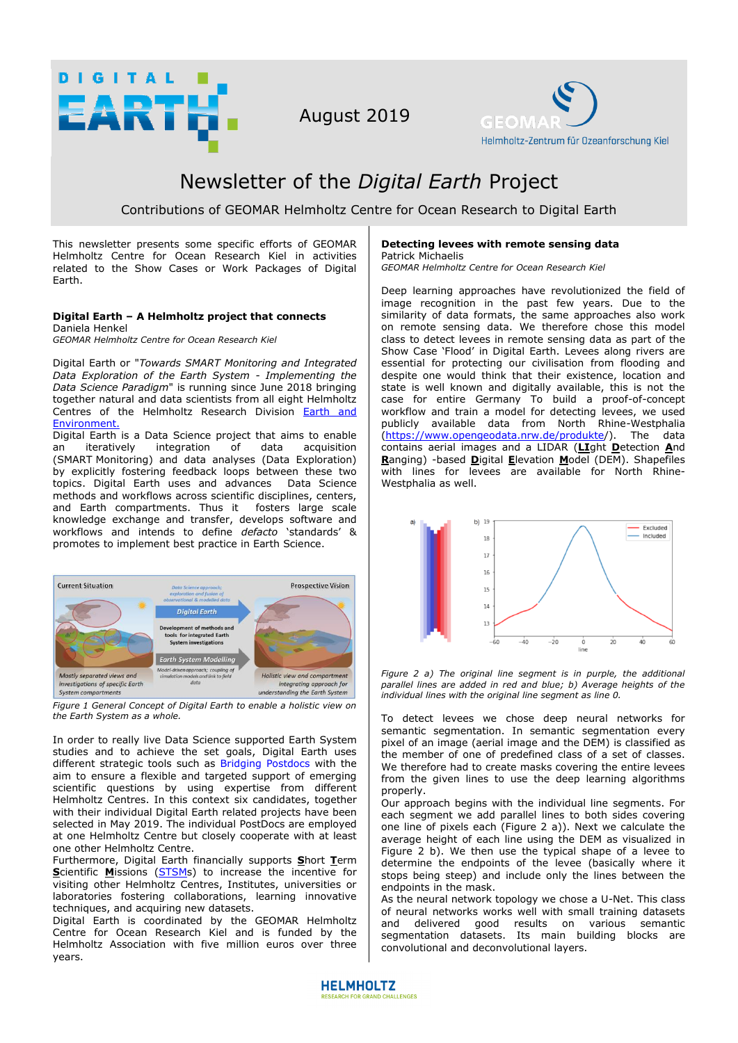

August 2019



# Newsletter of the *Digital Earth* Project

# Contributions of GEOMAR Helmholtz Centre for Ocean Research to Digital Earth

This newsletter presents some specific efforts of GEOMAR Helmholtz Centre for Ocean Research Kiel in activities related to the Show Cases or Work Packages of Digital Earth.

#### **Digital Earth – A Helmholtz project that connects**  Daniela Henkel

*GEOMAR Helmholtz Centre for Ocean Research Kiel*

Digital Earth or "*Towards SMART Monitoring and Integrated Data Exploration of the Earth System - Implementing the Data Science Paradigm*" is running since June 2018 bringing together natural and data scientists from all eight Helmholtz Centres of the Helmholtz Research Division [Earth and](https://www.helmholtz.de/en/research/earth_and_environment/)  [Environment.](https://www.helmholtz.de/en/research/earth_and_environment/) 

Digital Earth is a Data Science project that aims to enable an iteratively integration of data acquisition (SMART Monitoring) and data analyses (Data Exploration) by explicitly fostering feedback loops between these two topics. Digital Earth uses and advances Data Science methods and workflows across scientific disciplines, centers, and Earth compartments. Thus it fosters large scale knowledge exchange and transfer, develops software and workflows and intends to define *defacto* 'standards' & promotes to implement best practice in Earth Science.



*Figure 1 General Concept of Digital Earth to enable a holistic view on the Earth System as a whole.* 

In order to really live Data Science supported Earth System studies and to achieve the set goals, Digital Earth uses different strategic tools such as [Bridging Postdocs](https://www.digitalearth-hgf.de/de/bridging-postdocs) with the aim to ensure a flexible and targeted support of emerging scientific questions by using expertise from different Helmholtz Centres. In this context six candidates, together with their individual Digital Earth related projects have been selected in May 2019. The individual PostDocs are employed at one Helmholtz Centre but closely cooperate with at least one other Helmholtz Centre.

Furthermore, Digital Earth financially supports **S**hort **T**erm **Scientific Missions [\(STSMs](https://www.digitalearth-hgf.de/de/application1)) to increase the incentive for** visiting other Helmholtz Centres, Institutes, universities or laboratories fostering collaborations, learning innovative techniques, and acquiring new datasets.

Digital Earth is coordinated by the GEOMAR Helmholtz Centre for Ocean Research Kiel and is funded by the Helmholtz Association with five million euros over three years.

#### **Detecting levees with remote sensing data** Patrick Michaelis

*GEOMAR Helmholtz Centre for Ocean Research Kiel* 

Deep learning approaches have revolutionized the field of image recognition in the past few years. Due to the similarity of data formats, the same approaches also work on remote sensing data. We therefore chose this model class to detect levees in remote sensing data as part of the Show Case 'Flood' in Digital Earth. Levees along rivers are essential for protecting our civilisation from flooding and despite one would think that their existence, location and state is well known and digitally available, this is not the case for entire Germany To build a proof-of-concept workflow and train a model for detecting levees, we used publicly available data from North Rhine-Westphalia [\(https://www.opengeodata.nrw.de/produkte/](https://www.opengeodata.nrw.de/produkte/)). The data contains aerial images and a LIDAR (**LI**ght **D**etection **A**nd **R**anging) -based **D**igital **E**levation **M**odel (DEM). Shapefiles with lines for levees are available for North Rhine-Westphalia as well.



*Figure 2 a) The original line segment is in purple, the additional parallel lines are added in red and blue; b) Average heights of the individual lines with the original line segment as line 0.* 

To detect levees we chose deep neural networks for semantic segmentation. In semantic segmentation every pixel of an image (aerial image and the DEM) is classified as the member of one of predefined class of a set of classes. We therefore had to create masks covering the entire levees from the given lines to use the deep learning algorithms properly.

Our approach begins with the individual line segments. For each segment we add parallel lines to both sides covering one line of pixels each (Figure 2 a)). Next we calculate the average height of each line using the DEM as visualized in Figure 2 b). We then use the typical shape of a levee to determine the endpoints of the levee (basically where it stops being steep) and include only the lines between the endpoints in the mask.

As the neural network topology we chose a U-Net. This class of neural networks works well with small training datasets and delivered good results on various semantic segmentation datasets. Its main building blocks are convolutional and deconvolutional layers.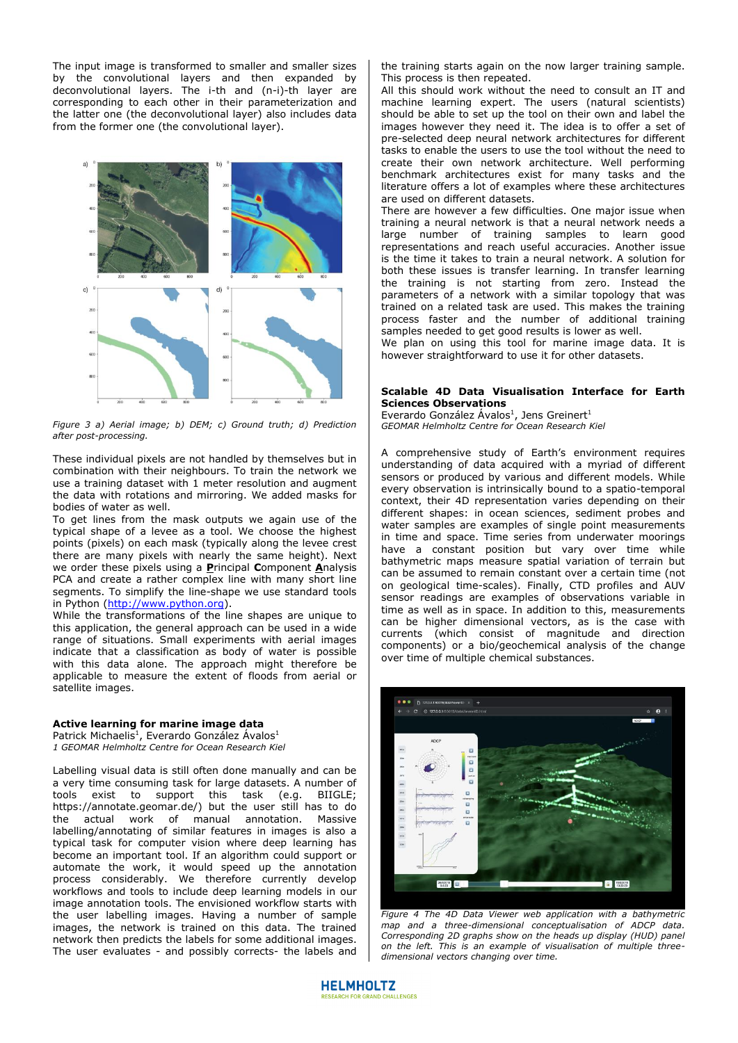The input image is transformed to smaller and smaller sizes by the convolutional layers and then expanded by deconvolutional layers. The i-th and (n-i)-th layer are corresponding to each other in their parameterization and the latter one (the deconvolutional layer) also includes data from the former one (the convolutional layer).



*Figure 3 a) Aerial image; b) DEM; c) Ground truth; d) Prediction after post-processing.*

These individual pixels are not handled by themselves but in combination with their neighbours. To train the network we use a training dataset with 1 meter resolution and augment the data with rotations and mirroring. We added masks for bodies of water as well.

To get lines from the mask outputs we again use of the typical shape of a levee as a tool. We choose the highest points (pixels) on each mask (typically along the levee crest there are many pixels with nearly the same height). Next we order these pixels using a **P**rincipal **C**omponent **A**nalysis PCA and create a rather complex line with many short line segments. To simplify the line-shape we use standard tools in Python [\(http://www.python.org\)](http://www.python.org/).

While the transformations of the line shapes are unique to this application, the general approach can be used in a wide range of situations. Small experiments with aerial images indicate that a classification as body of water is possible with this data alone. The approach might therefore be applicable to measure the extent of floods from aerial or satellite images.

#### **Active learning for marine image data**

Patrick Michaelis<sup>1</sup>, Everardo González Ávalos<sup>1</sup> *1 GEOMAR Helmholtz Centre for Ocean Research Kiel*

Labelling visual data is still often done manually and can be a very time consuming task for large datasets. A number of tools exist to support this task (e.g. BIIGLE; https://annotate.geomar.de/) but the user still has to do the actual work of manual annotation. Massive labelling/annotating of similar features in images is also a typical task for computer vision where deep learning has become an important tool. If an algorithm could support or automate the work, it would speed up the annotation process considerably. We therefore currently develop workflows and tools to include deep learning models in our image annotation tools. The envisioned workflow starts with the user labelling images. Having a number of sample images, the network is trained on this data. The trained network then predicts the labels for some additional images. The user evaluates - and possibly corrects- the labels and

the training starts again on the now larger training sample. This process is then repeated.

All this should work without the need to consult an IT and machine learning expert. The users (natural scientists) should be able to set up the tool on their own and label the images however they need it. The idea is to offer a set of pre-selected deep neural network architectures for different tasks to enable the users to use the tool without the need to create their own network architecture. Well performing benchmark architectures exist for many tasks and the literature offers a lot of examples where these architectures are used on different datasets.

There are however a few difficulties. One major issue when training a neural network is that a neural network needs a large number of training samples to learn good representations and reach useful accuracies. Another issue is the time it takes to train a neural network. A solution for both these issues is transfer learning. In transfer learning the training is not starting from zero. Instead the parameters of a network with a similar topology that was trained on a related task are used. This makes the training process faster and the number of additional training samples needed to get good results is lower as well.

We plan on using this tool for marine image data. It is however straightforward to use it for other datasets.

## **Scalable 4D Data Visualisation Interface for Earth Sciences Observations**

Everardo González Ávalos<sup>1</sup>, Jens Greinert<sup>1</sup> *GEOMAR Helmholtz Centre for Ocean Research Kiel*

A comprehensive study of Earth's environment requires understanding of data acquired with a myriad of different sensors or produced by various and different models. While every observation is intrinsically bound to a spatio-temporal context, their 4D representation varies depending on their different shapes: in ocean sciences, sediment probes and water samples are examples of single point measurements in time and space. Time series from underwater moorings have a constant position but vary over time while bathymetric maps measure spatial variation of terrain but can be assumed to remain constant over a certain time (not on geological time-scales). Finally, CTD profiles and AUV sensor readings are examples of observations variable in time as well as in space. In addition to this, measurements can be higher dimensional vectors, as is the case with currents (which consist of magnitude and direction components) or a bio/geochemical analysis of the change over time of multiple chemical substances.



*Figure 4 The 4D Data Viewer web application with a bathymetric map and a three-dimensional conceptualisation of ADCP data. Corresponding 2D graphs show on the heads up display (HUD) panel on the left. This is an example of visualisation of multiple threedimensional vectors changing over time.* 

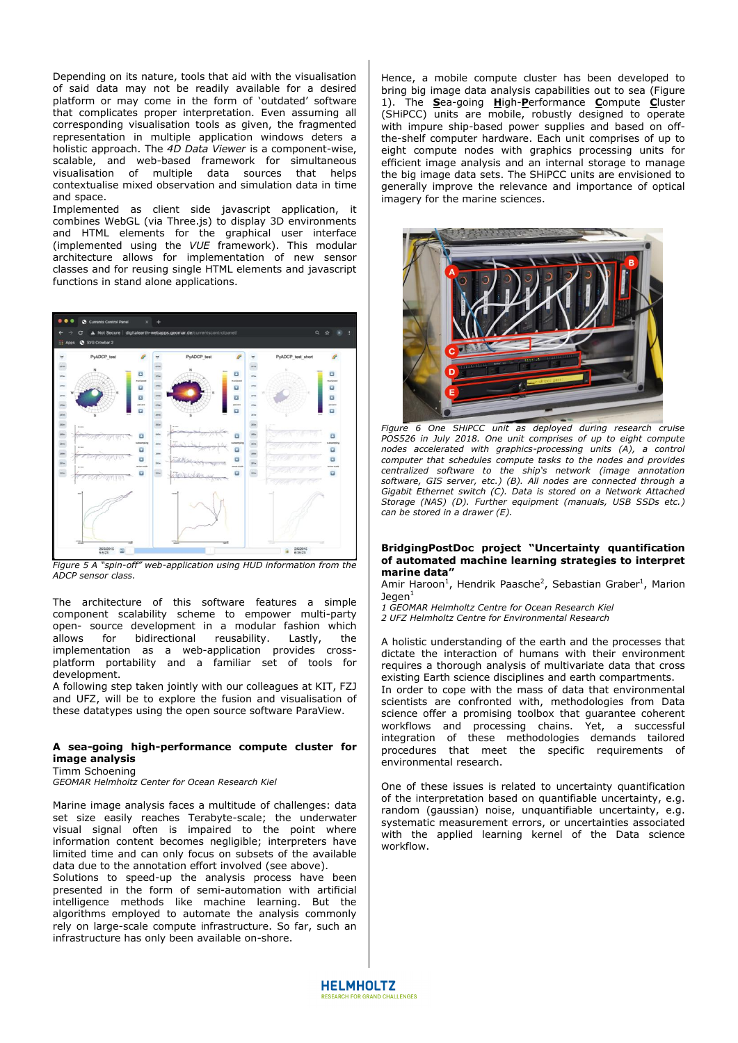Depending on its nature, tools that aid with the visualisation of said data may not be readily available for a desired platform or may come in the form of 'outdated' software that complicates proper interpretation. Even assuming all corresponding visualisation tools as given, the fragmented representation in multiple application windows deters a holistic approach. The *4D Data Viewer* is a component-wise, scalable, and web-based framework for simultaneous visualisation of multiple data sources that helps contextualise mixed observation and simulation data in time and space.

Implemented as client side javascript application, it combines WebGL (via Three.js) to display 3D environments and HTML elements for the graphical user interface (implemented using the *VUE* framework). This modular architecture allows for implementation of new sensor classes and for reusing single HTML elements and javascript functions in stand alone applications.



*Figure 5 A "spin-off" web-application using HUD information from the ADCP sensor class.*

The architecture of this software features a simple component scalability scheme to empower multi-party open- source development in a modular fashion which allows for bidirectional reusability. Lastly, the implementation as a web-application provides crossplatform portability and a familiar set of tools for development.

A following step taken jointly with our colleagues at KIT, FZJ and UFZ, will be to explore the fusion and visualisation of these datatypes using the open source software ParaView.

### **A sea-going high-performance compute cluster for image analysis**

Timm Schoening

*GEOMAR Helmholtz Center for Ocean Research Kiel* 

Marine image analysis faces a multitude of challenges: data set size easily reaches Terabyte-scale; the underwater visual signal often is impaired to the point where information content becomes negligible; interpreters have limited time and can only focus on subsets of the available data due to the annotation effort involved (see above).

Solutions to speed-up the analysis process have been presented in the form of semi-automation with artificial intelligence methods like machine learning. But the algorithms employed to automate the analysis commonly rely on large-scale compute infrastructure. So far, such an infrastructure has only been available on-shore.

Hence, a mobile compute cluster has been developed to bring big image data analysis capabilities out to sea (Figure 1). The **S**ea-going **H**igh-**P**erformance **C**ompute **C**luster (SHiPCC) units are mobile, robustly designed to operate with impure ship-based power supplies and based on offthe-shelf computer hardware. Each unit comprises of up to eight compute nodes with graphics processing units for efficient image analysis and an internal storage to manage the big image data sets. The SHiPCC units are envisioned to generally improve the relevance and importance of optical imagery for the marine sciences.



*Figure 6 One SHiPCC unit as deployed during research cruise POS526 in July 2018. One unit comprises of up to eight compute nodes accelerated with graphics-processing units (A), a control computer that schedules compute tasks to the nodes and provides centralized software to the ship's network (image annotation software, GIS server, etc.) (B). All nodes are connected through a Gigabit Ethernet switch (C). Data is stored on a Network Attached Storage (NAS) (D). Further equipment (manuals, USB SSDs etc.) can be stored in a drawer (E).* 

#### **BridgingPostDoc project "Uncertainty quantification of automated machine learning strategies to interpret marine data"**

Amir Haroon<sup>1</sup>, Hendrik Paasche<sup>2</sup>, Sebastian Graber<sup>1</sup>, Marion  $Jegen<sup>1</sup>$ 

- *1 GEOMAR Helmholtz Centre for Ocean Research Kiel*
- *2 UFZ Helmholtz Centre for Environmental Research*

A holistic understanding of the earth and the processes that dictate the interaction of humans with their environment requires a thorough analysis of multivariate data that cross existing Earth science disciplines and earth compartments.

In order to cope with the mass of data that environmental scientists are confronted with, methodologies from Data science offer a promising toolbox that guarantee coherent workflows and processing chains. Yet, a successful integration of these methodologies demands tailored procedures that meet the specific requirements of environmental research.

One of these issues is related to uncertainty quantification of the interpretation based on quantifiable uncertainty, e.g. random (gaussian) noise, unquantifiable uncertainty, e.g. systematic measurement errors, or uncertainties associated with the applied learning kernel of the Data science workflow.